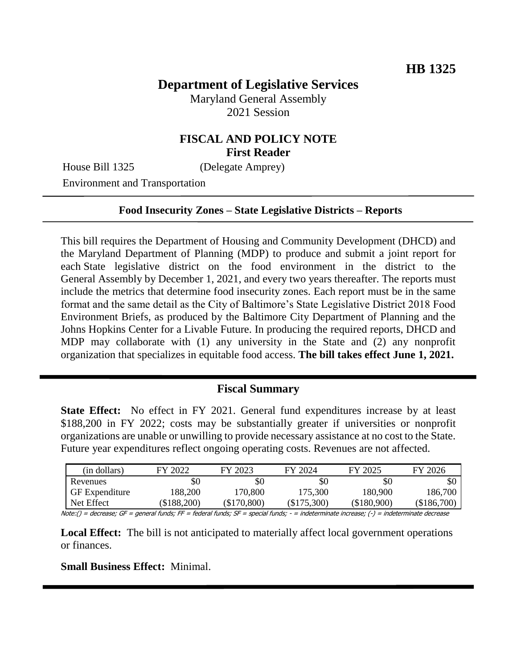# **Department of Legislative Services**

Maryland General Assembly 2021 Session

### **FISCAL AND POLICY NOTE First Reader**

House Bill 1325 (Delegate Amprey)

Environment and Transportation

#### **Food Insecurity Zones – State Legislative Districts – Reports**

This bill requires the Department of Housing and Community Development (DHCD) and the Maryland Department of Planning (MDP) to produce and submit a joint report for each State legislative district on the food environment in the district to the General Assembly by December 1, 2021, and every two years thereafter. The reports must include the metrics that determine food insecurity zones. Each report must be in the same format and the same detail as the City of Baltimore's State Legislative District 2018 Food Environment Briefs, as produced by the Baltimore City Department of Planning and the Johns Hopkins Center for a Livable Future. In producing the required reports, DHCD and MDP may collaborate with (1) any university in the State and (2) any nonprofit organization that specializes in equitable food access. **The bill takes effect June 1, 2021.**

### **Fiscal Summary**

**State Effect:** No effect in FY 2021. General fund expenditures increase by at least \$188,200 in FY 2022; costs may be substantially greater if universities or nonprofit organizations are unable or unwilling to provide necessary assistance at no cost to the State. Future year expenditures reflect ongoing operating costs. Revenues are not affected.

| FY 2026       | FY 2025                   | FY 2024                        | FY 2023       | FY 2022   | (in dollars)                                                                    |
|---------------|---------------------------|--------------------------------|---------------|-----------|---------------------------------------------------------------------------------|
| SC            | \$0                       | \$0                            | \$0           | \$0       | Revenues                                                                        |
| 186,700       | 180.900                   | 175.300                        | 170.800       | 188.200   | <b>GF</b> Expenditure                                                           |
| $(\$186,700)$ | $(\$180,900)$             | $(\$175,300)$                  | $(\$170,800)$ | \$188,200 | Net Effect                                                                      |
|               | - indoteseninate decrease | $-$ indeterminate increases () |               |           | $Maha/1 = daaraaaaa; CT = aanan! funda; FF = badaval funda; CT = anaial funda;$ |

Note:() = decrease; GF = general funds; FF = federal funds; SF = special funds; - = indeterminate increase; (-) = indeterminate decrease

**Local Effect:** The bill is not anticipated to materially affect local government operations or finances.

**Small Business Effect:** Minimal.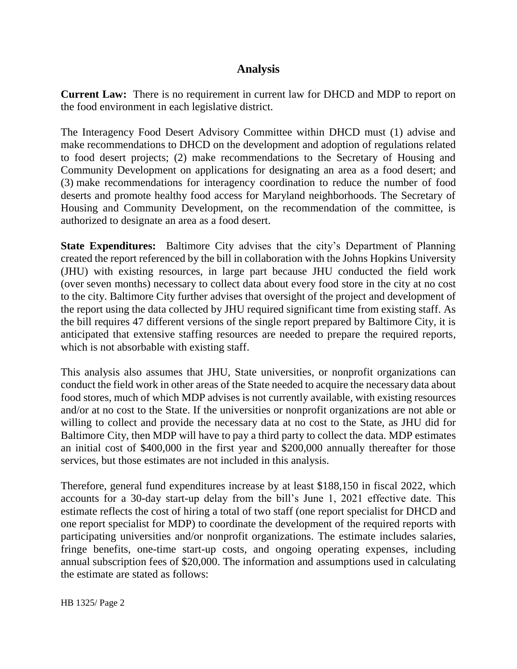## **Analysis**

**Current Law:** There is no requirement in current law for DHCD and MDP to report on the food environment in each legislative district.

The Interagency Food Desert Advisory Committee within DHCD must (1) advise and make recommendations to DHCD on the development and adoption of regulations related to food desert projects; (2) make recommendations to the Secretary of Housing and Community Development on applications for designating an area as a food desert; and (3) make recommendations for interagency coordination to reduce the number of food deserts and promote healthy food access for Maryland neighborhoods. The Secretary of Housing and Community Development, on the recommendation of the committee, is authorized to designate an area as a food desert.

**State Expenditures:** Baltimore City advises that the city's Department of Planning created the report referenced by the bill in collaboration with the Johns Hopkins University (JHU) with existing resources, in large part because JHU conducted the field work (over seven months) necessary to collect data about every food store in the city at no cost to the city. Baltimore City further advises that oversight of the project and development of the report using the data collected by JHU required significant time from existing staff. As the bill requires 47 different versions of the single report prepared by Baltimore City, it is anticipated that extensive staffing resources are needed to prepare the required reports, which is not absorbable with existing staff.

This analysis also assumes that JHU, State universities, or nonprofit organizations can conduct the field work in other areas of the State needed to acquire the necessary data about food stores, much of which MDP advises is not currently available, with existing resources and/or at no cost to the State. If the universities or nonprofit organizations are not able or willing to collect and provide the necessary data at no cost to the State, as JHU did for Baltimore City, then MDP will have to pay a third party to collect the data. MDP estimates an initial cost of \$400,000 in the first year and \$200,000 annually thereafter for those services, but those estimates are not included in this analysis.

Therefore, general fund expenditures increase by at least \$188,150 in fiscal 2022, which accounts for a 30-day start-up delay from the bill's June 1, 2021 effective date. This estimate reflects the cost of hiring a total of two staff (one report specialist for DHCD and one report specialist for MDP) to coordinate the development of the required reports with participating universities and/or nonprofit organizations. The estimate includes salaries, fringe benefits, one-time start-up costs, and ongoing operating expenses, including annual subscription fees of \$20,000. The information and assumptions used in calculating the estimate are stated as follows: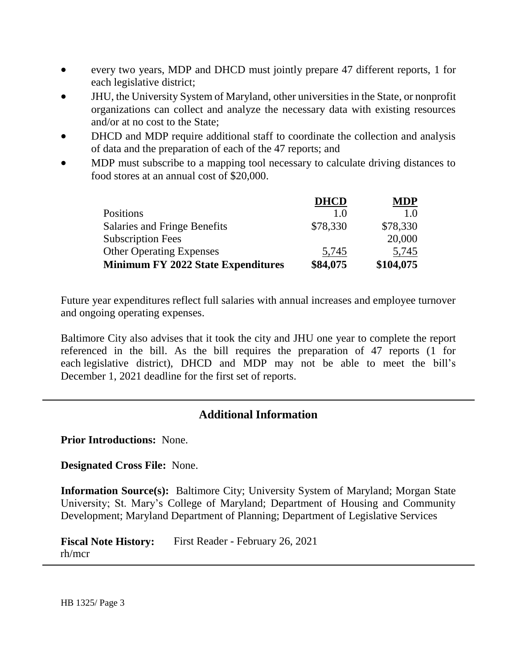- every two years, MDP and DHCD must jointly prepare 47 different reports, 1 for each legislative district;
- JHU, the University System of Maryland, other universities in the State, or nonprofit organizations can collect and analyze the necessary data with existing resources and/or at no cost to the State;
- DHCD and MDP require additional staff to coordinate the collection and analysis of data and the preparation of each of the 47 reports; and
- MDP must subscribe to a mapping tool necessary to calculate driving distances to food stores at an annual cost of \$20,000.

|                                           | <b>DHCD</b> | <b>MDP</b> |
|-------------------------------------------|-------------|------------|
| Positions                                 | 10          | 1.O        |
| Salaries and Fringe Benefits              | \$78,330    | \$78,330   |
| <b>Subscription Fees</b>                  |             | 20,000     |
| <b>Other Operating Expenses</b>           | 5,745       | 5,745      |
| <b>Minimum FY 2022 State Expenditures</b> | \$84,075    | \$104,075  |

Future year expenditures reflect full salaries with annual increases and employee turnover and ongoing operating expenses.

Baltimore City also advises that it took the city and JHU one year to complete the report referenced in the bill. As the bill requires the preparation of 47 reports (1 for each legislative district), DHCD and MDP may not be able to meet the bill's December 1, 2021 deadline for the first set of reports.

## **Additional Information**

**Prior Introductions:** None.

**Designated Cross File:** None.

**Information Source(s):** Baltimore City; University System of Maryland; Morgan State University; St. Mary's College of Maryland; Department of Housing and Community Development; Maryland Department of Planning; Department of Legislative Services

**Fiscal Note History:** First Reader - February 26, 2021 rh/mcr